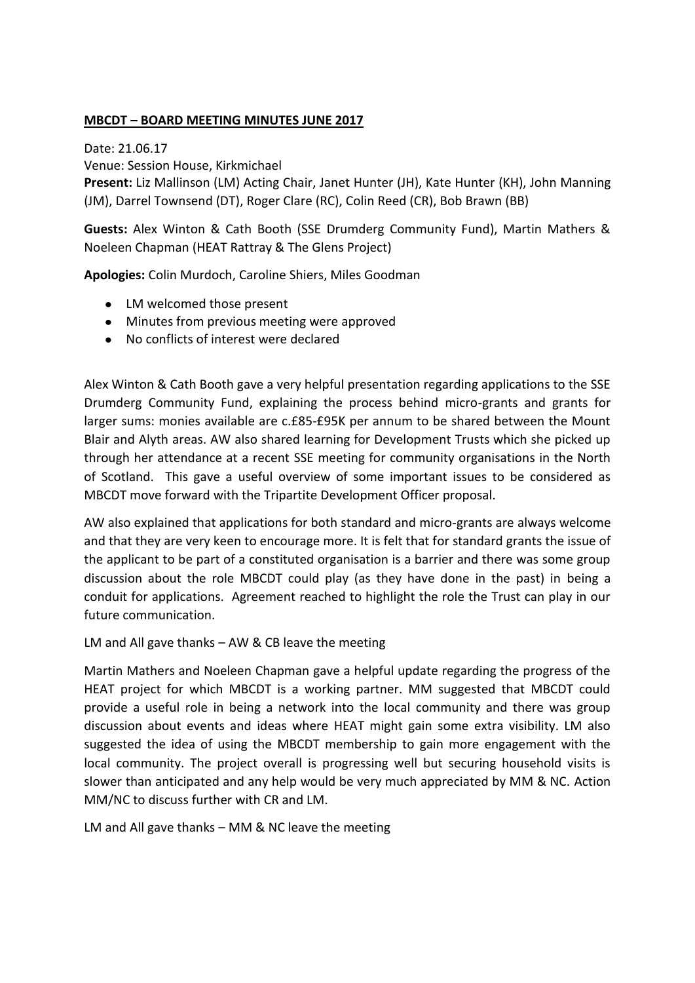### **MBCDT – BOARD MEETING MINUTES JUNE 2017**

Date: 21.06.17 Venue: Session House, Kirkmichael **Present:** Liz Mallinson (LM) Acting Chair, Janet Hunter (JH), Kate Hunter (KH), John Manning (JM), Darrel Townsend (DT), Roger Clare (RC), Colin Reed (CR), Bob Brawn (BB)

**Guests:** Alex Winton & Cath Booth (SSE Drumderg Community Fund), Martin Mathers & Noeleen Chapman (HEAT Rattray & The Glens Project)

**Apologies:** Colin Murdoch, Caroline Shiers, Miles Goodman

- LM welcomed those present
- Minutes from previous meeting were approved
- No conflicts of interest were declared

Alex Winton & Cath Booth gave a very helpful presentation regarding applications to the SSE Drumderg Community Fund, explaining the process behind micro-grants and grants for larger sums: monies available are c.£85-£95K per annum to be shared between the Mount Blair and Alyth areas. AW also shared learning for Development Trusts which she picked up through her attendance at a recent SSE meeting for community organisations in the North of Scotland. This gave a useful overview of some important issues to be considered as MBCDT move forward with the Tripartite Development Officer proposal.

AW also explained that applications for both standard and micro-grants are always welcome and that they are very keen to encourage more. It is felt that for standard grants the issue of the applicant to be part of a constituted organisation is a barrier and there was some group discussion about the role MBCDT could play (as they have done in the past) in being a conduit for applications. Agreement reached to highlight the role the Trust can play in our future communication.

LM and All gave thanks – AW & CB leave the meeting

Martin Mathers and Noeleen Chapman gave a helpful update regarding the progress of the HEAT project for which MBCDT is a working partner. MM suggested that MBCDT could provide a useful role in being a network into the local community and there was group discussion about events and ideas where HEAT might gain some extra visibility. LM also suggested the idea of using the MBCDT membership to gain more engagement with the local community. The project overall is progressing well but securing household visits is slower than anticipated and any help would be very much appreciated by MM & NC. Action MM/NC to discuss further with CR and LM.

LM and All gave thanks – MM & NC leave the meeting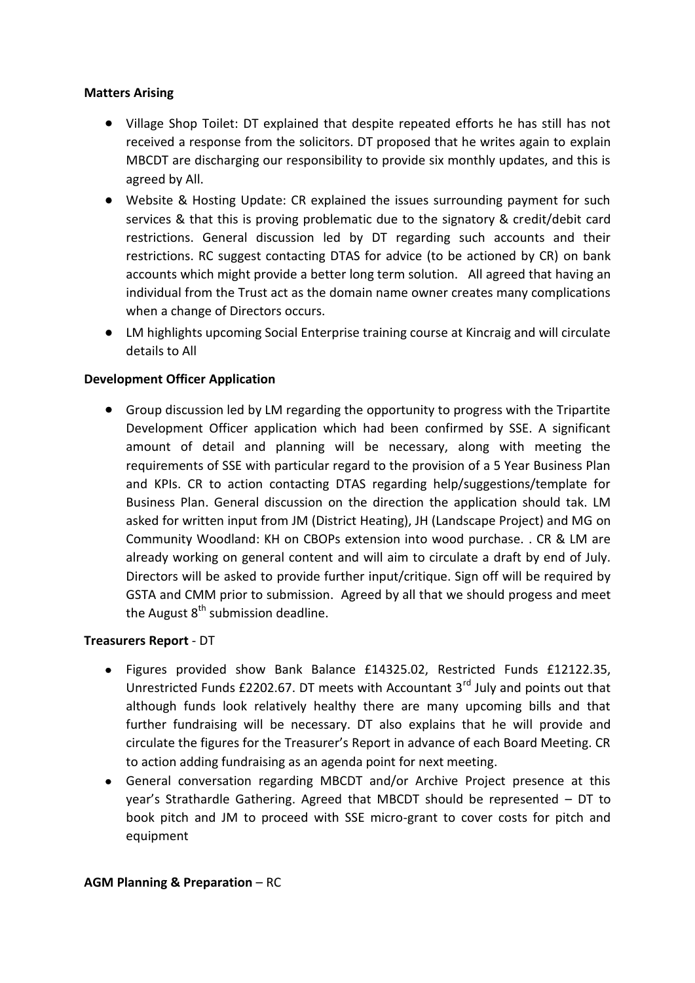### **Matters Arising**

- Village Shop Toilet: DT explained that despite repeated efforts he has still has not received a response from the solicitors. DT proposed that he writes again to explain MBCDT are discharging our responsibility to provide six monthly updates, and this is agreed by All.
- Website & Hosting Update: CR explained the issues surrounding payment for such services & that this is proving problematic due to the signatory & credit/debit card restrictions. General discussion led by DT regarding such accounts and their restrictions. RC suggest contacting DTAS for advice (to be actioned by CR) on bank accounts which might provide a better long term solution. All agreed that having an individual from the Trust act as the domain name owner creates many complications when a change of Directors occurs.
- LM highlights upcoming Social Enterprise training course at Kincraig and will circulate details to All

### **Development Officer Application**

Group discussion led by LM regarding the opportunity to progress with the Tripartite Development Officer application which had been confirmed by SSE. A significant amount of detail and planning will be necessary, along with meeting the requirements of SSE with particular regard to the provision of a 5 Year Business Plan and KPIs. CR to action contacting DTAS regarding help/suggestions/template for Business Plan. General discussion on the direction the application should tak. LM asked for written input from JM (District Heating), JH (Landscape Project) and MG on Community Woodland: KH on CBOPs extension into wood purchase. . CR & LM are already working on general content and will aim to circulate a draft by end of July. Directors will be asked to provide further input/critique. Sign off will be required by GSTA and CMM prior to submission. Agreed by all that we should progess and meet the August  $8<sup>th</sup>$  submission deadline.

#### **Treasurers Report** - DT

- Figures provided show Bank Balance £14325.02, Restricted Funds £12122.35,  $\bullet$ Unrestricted Funds £2202.67. DT meets with Accountant  $3<sup>rd</sup>$  July and points out that although funds look relatively healthy there are many upcoming bills and that further fundraising will be necessary. DT also explains that he will provide and circulate the figures for the Treasurer's Report in advance of each Board Meeting. CR to action adding fundraising as an agenda point for next meeting.
- General conversation regarding MBCDT and/or Archive Project presence at this  $\bullet$ year's Strathardle Gathering. Agreed that MBCDT should be represented – DT to book pitch and JM to proceed with SSE micro-grant to cover costs for pitch and equipment

#### **AGM Planning & Preparation – RC**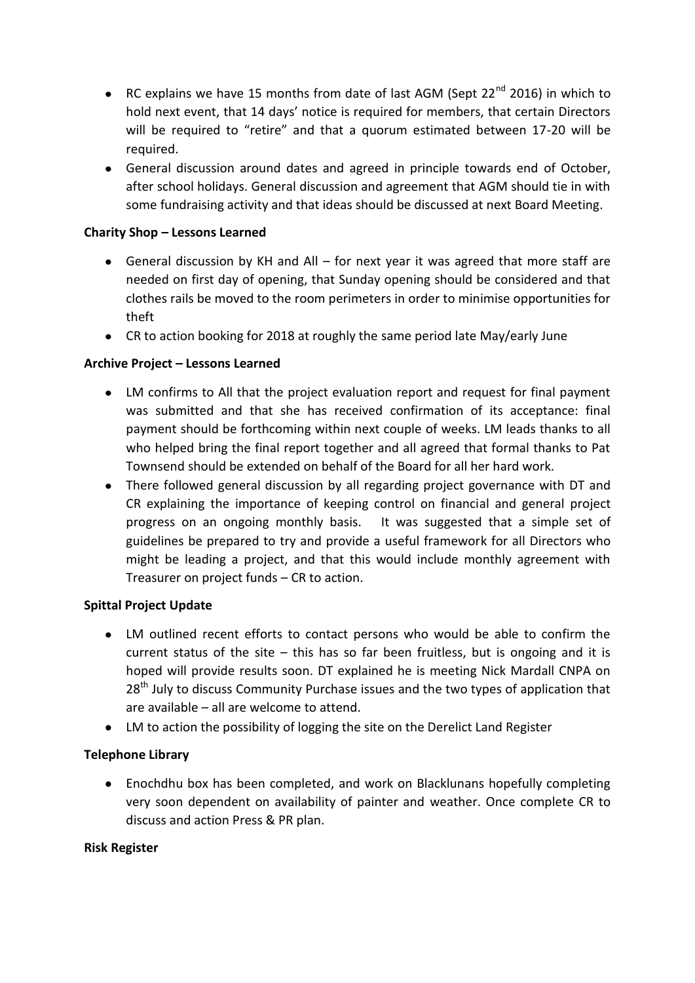- RC explains we have 15 months from date of last AGM (Sept 22 $^{nd}$  2016) in which to hold next event, that 14 days' notice is required for members, that certain Directors will be required to "retire" and that a quorum estimated between 17-20 will be required.
- General discussion around dates and agreed in principle towards end of October, after school holidays. General discussion and agreement that AGM should tie in with some fundraising activity and that ideas should be discussed at next Board Meeting.

## **Charity Shop – Lessons Learned**

- General discussion by KH and All for next year it was agreed that more staff are needed on first day of opening, that Sunday opening should be considered and that clothes rails be moved to the room perimeters in order to minimise opportunities for theft
- CR to action booking for 2018 at roughly the same period late May/early June

# **Archive Project – Lessons Learned**

- LM confirms to All that the project evaluation report and request for final payment was submitted and that she has received confirmation of its acceptance: final payment should be forthcoming within next couple of weeks. LM leads thanks to all who helped bring the final report together and all agreed that formal thanks to Pat Townsend should be extended on behalf of the Board for all her hard work.
- There followed general discussion by all regarding project governance with DT and CR explaining the importance of keeping control on financial and general project progress on an ongoing monthly basis. It was suggested that a simple set of guidelines be prepared to try and provide a useful framework for all Directors who might be leading a project, and that this would include monthly agreement with Treasurer on project funds – CR to action.

## **Spittal Project Update**

- LM outlined recent efforts to contact persons who would be able to confirm the current status of the site  $-$  this has so far been fruitless, but is ongoing and it is hoped will provide results soon. DT explained he is meeting Nick Mardall CNPA on 28<sup>th</sup> July to discuss Community Purchase issues and the two types of application that are available – all are welcome to attend.
- LM to action the possibility of logging the site on the Derelict Land Register

## **Telephone Library**

 $\bullet$ Enochdhu box has been completed, and work on Blacklunans hopefully completing very soon dependent on availability of painter and weather. Once complete CR to discuss and action Press & PR plan.

## **Risk Register**